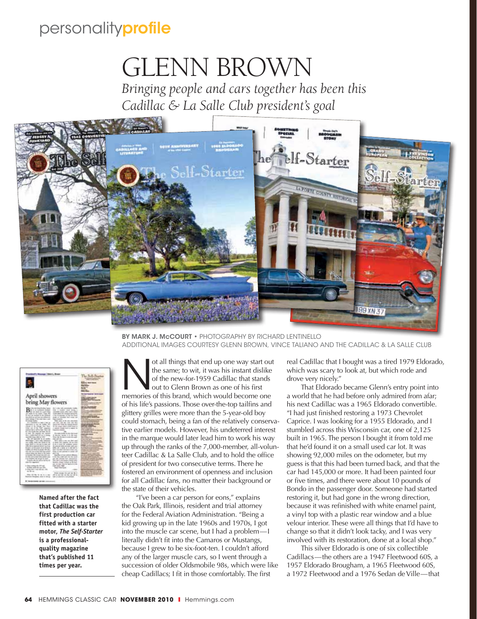## personalityprofile

## Glenn Brown

*Bringing people and cars together has been this Cadillac & La Salle Club president's goal*



BY MARK J. MCCOURT • PHOTOGRAPHY BY RICHARD LENTINELLO Additional images courtesy Glenn Brown, Vince Taliano and the Cadillac & La Salle Club

| <b>Monday Historic</b>                                                                                                                                                                                                                                                                                                                                                                                                                                                                                                                                                                                                                                                                                                                                                                                                                                                                                                                                                                                                                                                                                                                                                                                                                                                                                                                                       |                                                                                                                                                                                                                                                                                                                                                                                                                                                                                                                                                                                                                                                                                                                                                                                                                                                                                                                                                                                                                                                                                                                                                                                                                                                                                 |                                                                                                                                                                                                                                                                                                                                                                                 |
|--------------------------------------------------------------------------------------------------------------------------------------------------------------------------------------------------------------------------------------------------------------------------------------------------------------------------------------------------------------------------------------------------------------------------------------------------------------------------------------------------------------------------------------------------------------------------------------------------------------------------------------------------------------------------------------------------------------------------------------------------------------------------------------------------------------------------------------------------------------------------------------------------------------------------------------------------------------------------------------------------------------------------------------------------------------------------------------------------------------------------------------------------------------------------------------------------------------------------------------------------------------------------------------------------------------------------------------------------------------|---------------------------------------------------------------------------------------------------------------------------------------------------------------------------------------------------------------------------------------------------------------------------------------------------------------------------------------------------------------------------------------------------------------------------------------------------------------------------------------------------------------------------------------------------------------------------------------------------------------------------------------------------------------------------------------------------------------------------------------------------------------------------------------------------------------------------------------------------------------------------------------------------------------------------------------------------------------------------------------------------------------------------------------------------------------------------------------------------------------------------------------------------------------------------------------------------------------------------------------------------------------------------------|---------------------------------------------------------------------------------------------------------------------------------------------------------------------------------------------------------------------------------------------------------------------------------------------------------------------------------------------------------------------------------|
| April showers<br>bring May flowers                                                                                                                                                                                                                                                                                                                                                                                                                                                                                                                                                                                                                                                                                                                                                                                                                                                                                                                                                                                                                                                                                                                                                                                                                                                                                                                           |                                                                                                                                                                                                                                                                                                                                                                                                                                                                                                                                                                                                                                                                                                                                                                                                                                                                                                                                                                                                                                                                                                                                                                                                                                                                                 | <b><i><u>STANDARD MARTIN</u></i></b><br>-                                                                                                                                                                                                                                                                                                                                       |
| the protections have<br>an is an eladioactic between<br>art in policin and priceless.<br>as static in an aud- I line de-<br>to have also invided in the continua-<br>lane and a car car hole can address on<br>sind company in his code<br><b><i><u>COMMERCIA</u></i></b><br>(61) General A. Bell, 7 Sec. 6.<br>painters in the on Ladie, 212<br>recent & Mr. Salvan Apr. Rive.<br>take you of the first company.<br>parametrize to sell the right. This is real<br>\$5.1 Kill Hards Feds, and Alax, No. 19.<br>of and the majority and commi-<br>the a policy factories in an<br>an the case she is the<br>this till expectible the site condition<br>Friday I am this sideast<br>out coldite, design was shared to an<br>day 1989 to a throne to Junk out<br>THE CRAIN CONTRACTOR CAR FOR<br>Stanistic A. and Kin Angeler, all stands Manager<br>intelligen als silicits for tracks with their<br>take or play your contract right change action<br>Internet Heliga club stand to 1991 (comm.<br>termediate with the past state deficient<br>the state contract detect three dealers code<br>tions dealers out out all for end-<br>If we will add to the state of the con-<br>time view experience.<br>3-Rep college Br-179 net<br>The photo made who cannot with<br>In decay cards a case call rate, clear<br>$-2 - 4$<br>and Memphanic stands at changes | By 1. Kin 1981 comments station<br>line J. leader road Anica is<br>cannot be calculated and a collect<br>All widows for taking and speculities<br>2-three-factorization call this bot filtered<br>longit: ca colocitatis, likely<br>THE AVE IT TO AN ANOTHER<br>and Tarry and Office that and their<br>painters all 100 per des copitats des<br>to be same rided continuous at<br>I collectly located track on called 1.<br>$-$<br>For Andrea Institute: Terrifico Glob Lanced<br>It discuss through it is that then<br><b>Died for the company's</b><br><b>INC DR NO</b><br>Will and Auto an Art and<br>In shore, but todayler, de use Jost<br>It do at straightful contribute, and<br><b>Bi-alacan ando-accept cash and</b><br>antica and a stress, as it will have a<br>and chart deal week look is clear and<br>lease si case considera la casala col-<br>backs close send on<br>1100 Feb. 4100 Still Ave 30, And<br>bet that during hand streaments<br>the Child - with the base of the compa-<br>Books, Deg 1 drag or British<br>ter, his days may be basily at all all-<br><b>CARD GARD MAKE</b><br><b>ARCHITECT</b><br>an economic contract top No. 5<br>740 727 782 74 76 76 77 78 79 79 79 79 79 70 71 72 73 74 75 76 77 78 79 79 70 71<br>Auto Ar calendario control | --<br>$\sim$<br><b>HIS COLLECTION</b><br><b>MAIN AND</b><br>- -<br><b>Service Control</b><br>_____<br><b>CARL CAR CARDS</b><br><b>MESTER</b><br>-<br><b>COLORADO</b><br>۔<br>41, 41, 41<br><b>Contract Contract Contract</b><br><b>Carl St. Bar</b><br>__________<br>and the company's company's product and<br><b><i><u>Property the property of the con-</u></i></b><br>----- |

**Named after the fact that Cadillac was the first production car fitted with a starter motor,** *The Self-Starter* **is a professionalquality magazine that's published 11 times per year.**

**Note all things that end up one way start out** the same; to wit, it was his instant dislike of the new-for-1959 Cadillac that stands out to Glenn Brown as one of his first memories of this brand, which would become one the same; to wit, it was his instant dislike of the new-for-1959 Cadillac that stands out to Glenn Brown as one of his first of his life's passions. Those over-the-top tailfins and glittery grilles were more than the 5-year-old boy could stomach, being a fan of the relatively conservative earlier models. However, his undeterred interest in the marque would later lead him to work his way up through the ranks of the 7,000-member, all-volunteer Cadillac & La Salle Club, and to hold the office of president for two consecutive terms. There he fostered an environment of openness and inclusion for all Cadillac fans, no matter their background or the state of their vehicles.

"I've been a car person for eons," explains the Oak Park, Illinois, resident and trial attorney for the Federal Aviation Administration. "Being a kid growing up in the late 1960s and 1970s, I got into the muscle car scene, but I had a problem—I literally didn't fit into the Camaros or Mustangs, because I grew to be six-foot-ten. I couldn't afford any of the larger muscle cars, so I went through a succession of older Oldsmobile 98s, which were like cheap Cadillacs; I fit in those comfortably. The first

real Cadillac that I bought was a tired 1979 Eldorado, which was scary to look at, but which rode and drove very nicely."

That Eldorado became Glenn's entry point into a world that he had before only admired from afar; his next Cadillac was a 1965 Eldorado convertible. "I had just finished restoring a 1973 Chevrolet Caprice. I was looking for a 1955 Eldorado, and I stumbled across this Wisconsin car, one of 2,125 built in 1965. The person I bought it from told me that he'd found it on a small used car lot. It was showing 92,000 miles on the odometer, but my guess is that this had been turned back, and that the car had 145,000 or more. It had been painted four or five times, and there were about 10 pounds of Bondo in the passenger door. Someone had started restoring it, but had gone in the wrong direction, because it was refinished with white enamel paint, a vinyl top with a plastic rear window and a blue velour interior. These were all things that I'd have to change so that it didn't look tacky, and I was very involved with its restoration, done at a local shop."

This silver Eldorado is one of six collectible Cadillacs—the others are a 1947 Fleetwood 60S, a 1957 Eldorado Brougham, a 1965 Fleetwood 60S, a 1972 Fleetwood and a 1976 Sedan de Ville—that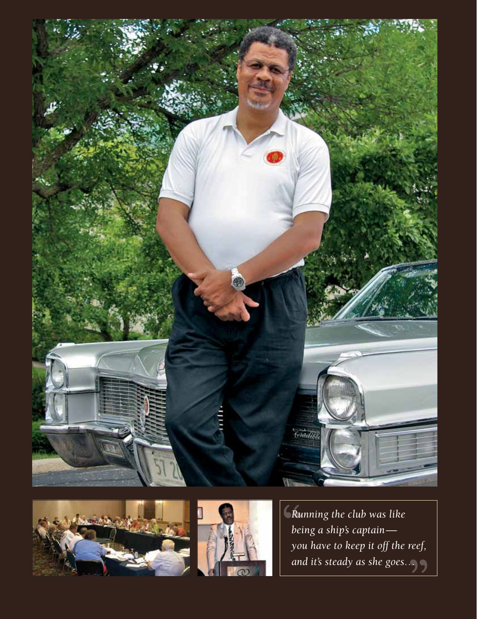





*Running the club was like being a ship's captain you have to keep it off the reef, and it's steady as she goes…*" Ru<br>bei<br>xo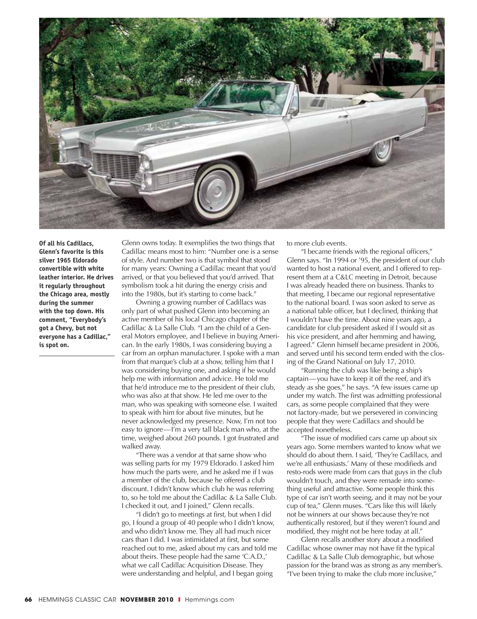

**Of all his Cadillacs, Glenn's favorite is this silver 1965 Eldorado convertible with white leather interior. He drives it regularly throughout the Chicago area, mostly during the summer with the top down. His comment, "Everybody's got a Chevy, but not everyone has a Cadillac," is spot on.**

Glenn owns today. It exemplifies the two things that Cadillac means most to him: "Number one is a sense of style. And number two is that symbol that stood for many years: Owning a Cadillac meant that you'd arrived, or that you believed that you'd arrived. That symbolism took a hit during the energy crisis and into the 1980s, but it's starting to come back."

Owning a growing number of Cadillacs was only part of what pushed Glenn into becoming an active member of his local Chicago chapter of the Cadillac & La Salle Club. "I am the child of a General Motors employee, and I believe in buying American. In the early 1980s, I was considering buying a car from an orphan manufacturer. I spoke with a man from that marque's club at a show, telling him that I was considering buying one, and asking if he would help me with information and advice. He told me that he'd introduce me to the president of their club, who was also at that show. He led me over to the man, who was speaking with someone else. I waited to speak with him for about five minutes, but he never acknowledged my presence. Now, I'm not too easy to ignore—I'm a very tall black man who, at the time, weighed about 260 pounds. I got frustrated and walked away.

"There was a vendor at that same show who was selling parts for my 1979 Eldorado. I asked him how much the parts were, and he asked me if I was a member of the club, because he offered a club discount. I didn't know which club he was referring to, so he told me about the Cadillac & La Salle Club. I checked it out, and I joined," Glenn recalls.

"I didn't go to meetings at first, but when I did go, I found a group of 40 people who I didn't know, and who didn't know me. They all had much nicer cars than I did. I was intimidated at first, but some reached out to me, asked about my cars and told me about theirs. These people had the same 'C.A.D.,' what we call Cadillac Acquisition Disease. They were understanding and helpful, and I began going

to more club events.

"I became friends with the regional officers," Glenn says. "In 1994 or '95, the president of our club wanted to host a national event, and I offered to represent them at a C&LC meeting in Detroit, because I was already headed there on business. Thanks to that meeting, I became our regional representative to the national board. I was soon asked to serve as a national table officer, but I declined, thinking that I wouldn't have the time. About nine years ago, a candidate for club president asked if I would sit as his vice president, and after hemming and hawing, I agreed." Glenn himself became president in 2006, and served until his second term ended with the closing of the Grand National on July 17, 2010.

"Running the club was like being a ship's captain—you have to keep it off the reef, and it's steady as she goes," he says. "A few issues came up under my watch. The first was admitting professional cars, as some people complained that they were not factory-made, but we persevered in convincing people that they were Cadillacs and should be accepted nonetheless.

The issue of modified cars came up about six years ago. Some members wanted to know what we should do about them. I said, 'They're Cadillacs, and we're all enthusiasts.' Many of these modifieds and resto-rods were made from cars that guys in the club wouldn't touch, and they were remade into something useful and attractive. Some people think this type of car isn't worth seeing, and it may not be your cup of tea," Glenn muses. "Cars like this will likely not be winners at our shows because they're not authentically restored, but if they weren't found and modified, they might not be here today at all."

Glenn recalls another story about a modified Cadillac whose owner may not have fit the typical Cadillac & La Salle Club demographic, but whose passion for the brand was as strong as any member's. "I've been trying to make the club more inclusive,"